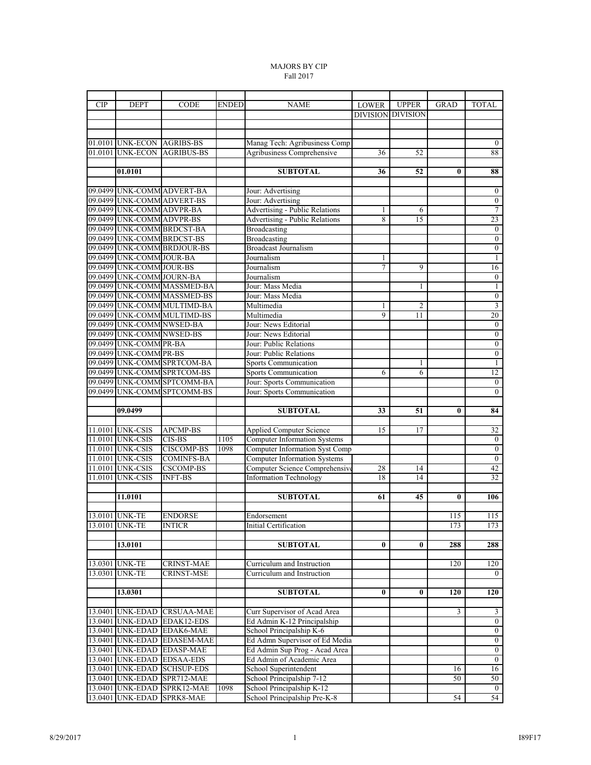## MAJORS BY CIP Fall 2017

| <b>CIP</b> | <b>DEPT</b>                | <b>CODE</b>                                                | <b>ENDED</b> | <b>NAME</b>                                  | LOWER                    | <b>UPPER</b>         | GRAD     | <b>TOTAL</b>                       |
|------------|----------------------------|------------------------------------------------------------|--------------|----------------------------------------------|--------------------------|----------------------|----------|------------------------------------|
|            |                            |                                                            |              |                                              | <b>DIVISION DIVISION</b> |                      |          |                                    |
|            |                            |                                                            |              |                                              |                          |                      |          |                                    |
|            |                            |                                                            |              |                                              |                          |                      |          |                                    |
|            | 01.0101 UNK-ECON AGRIBS-BS |                                                            |              | Manag Tech: Agribusiness Comp                |                          |                      |          | $\overline{0}$                     |
| 01.0101    | <b>UNK-ECON</b>            | <b>AGRIBUS-BS</b>                                          |              | Agribusiness Comprehensive                   | 36                       | 52                   |          | 88                                 |
|            |                            |                                                            |              |                                              |                          |                      |          |                                    |
|            | 01.0101                    |                                                            |              | <b>SUBTOTAL</b>                              | 36                       | 52                   | $\bf{0}$ | 88                                 |
|            |                            |                                                            |              |                                              |                          |                      |          |                                    |
|            |                            | 09.0499 UNK-COMM ADVERT-BA                                 |              | Jour: Advertising                            |                          |                      |          | $\boldsymbol{0}$                   |
|            |                            | 09.0499 UNK-COMM ADVERT-BS                                 |              | Jour: Advertising                            |                          |                      |          | $\overline{0}$                     |
|            | 09.0499 UNK-COMM ADVPR-BA  |                                                            |              | <b>Advertising - Public Relations</b>        | 1                        | 6                    |          | $\overline{7}$                     |
|            | 09.0499 UNK-COMM ADVPR-BS  |                                                            |              | Advertising - Public Relations               | 8                        | 15                   |          | 23                                 |
|            |                            | 09.0499 UNK-COMM BRDCST-BA                                 |              | <b>Broadcasting</b>                          |                          |                      |          | $\overline{0}$                     |
|            | 09.0499 UNK-COMM BRDCST-BS |                                                            |              | <b>Broadcasting</b>                          |                          |                      |          | $\mathbf{0}$                       |
|            |                            | 09.0499 UNK-COMM BRDJOUR-BS                                |              | <b>Broadcast Journalism</b>                  |                          |                      |          | $\overline{0}$                     |
|            | 09.0499 UNK-COMM JOUR-BA   |                                                            |              | Journalism                                   | 1                        |                      |          | 1                                  |
|            | 09.0499 UNK-COMM JOUR-BS   |                                                            |              | Journalism                                   | 7                        | 9                    |          | 16                                 |
|            | 09.0499 UNK-COMM JOURN-BA  |                                                            |              | Journalism                                   |                          |                      |          | $\mathbf{0}$                       |
|            |                            | 09.0499 UNK-COMM MASSMED-BA                                |              | Jour: Mass Media                             |                          | 1                    |          | 1                                  |
|            |                            | 09.0499 UNK-COMM MASSMED-BS<br>09.0499 UNK-COMM MULTIMD-BA |              | Jour: Mass Media                             |                          |                      |          | $\overline{0}$<br>$\overline{3}$   |
|            |                            | 09.0499 UNK-COMM MULTIMD-BS                                |              | Multimedia                                   | 1<br>9                   | $\overline{2}$<br>11 |          | 20                                 |
|            | 09.0499 UNK-COMM NWSED-BA  |                                                            |              | Multimedia                                   |                          |                      |          |                                    |
|            | 09.0499 UNK-COMM NWSED-BS  |                                                            |              | Jour: News Editorial<br>Jour: News Editorial |                          |                      |          | $\boldsymbol{0}$<br>$\overline{0}$ |
|            | 09.0499 UNK-COMM PR-BA     |                                                            |              | Jour: Public Relations                       |                          |                      |          | $\overline{0}$                     |
|            | 09.0499 UNK-COMM PR-BS     |                                                            |              | Jour: Public Relations                       |                          |                      |          | $\overline{0}$                     |
|            |                            | 09.0499 UNK-COMM SPRTCOM-BA                                |              | Sports Communication                         |                          | 1                    |          | $\mathbf{1}$                       |
|            |                            | 09.0499 UNK-COMM SPRTCOM-BS                                |              | Sports Communication                         | 6                        | 6                    |          | 12                                 |
|            |                            | 09.0499 UNK-COMM SPTCOMM-BA                                |              | Jour: Sports Communication                   |                          |                      |          | $\overline{0}$                     |
|            |                            | 09.0499 UNK-COMM SPTCOMM-BS                                |              | Jour: Sports Communication                   |                          |                      |          | $\overline{0}$                     |
|            |                            |                                                            |              |                                              |                          |                      |          |                                    |
|            | 09.0499                    |                                                            |              | <b>SUBTOTAL</b>                              | 33                       | 51                   | 0        | 84                                 |
|            |                            |                                                            |              |                                              |                          |                      |          |                                    |
|            | 11.0101 UNK-CSIS           | <b>APCMP-BS</b>                                            |              | Applied Computer Science                     | 15                       | 17                   |          | 32                                 |
|            | 11.0101 UNK-CSIS           | CIS-BS                                                     | 1105         | <b>Computer Information Systems</b>          |                          |                      |          | $\mathbf{0}$                       |
|            | 11.0101 UNK-CSIS           | <b>CISCOMP-BS</b>                                          | 1098         | <b>Computer Information Syst Comp</b>        |                          |                      |          | $\overline{0}$                     |
|            | 11.0101 UNK-CSIS           | <b>COMINFS-BA</b>                                          |              | <b>Computer Information Systems</b>          |                          |                      |          | $\overline{0}$                     |
|            | 11.0101 UNK-CSIS           | <b>CSCOMP-BS</b>                                           |              | Computer Science Comprehensiv                | 28                       | 14                   |          | 42                                 |
|            | 11.0101 UNK-CSIS           | <b>INFT-BS</b>                                             |              | <b>Information Technology</b>                | 18                       | 14                   |          | 32                                 |
|            |                            |                                                            |              |                                              |                          |                      |          |                                    |
|            | 11.0101                    |                                                            |              | <b>SUBTOTAL</b>                              | 61                       | 45                   | 0        | 106                                |
|            |                            |                                                            |              |                                              |                          |                      |          |                                    |
|            | 13.0101 UNK-TE             | <b>ENDORSE</b>                                             |              | Endorsement                                  |                          |                      | 115      | 115                                |
|            | 13.0101 UNK-TE             | <b>INTICR</b>                                              |              | Initial Certification                        |                          |                      | 173      | 173                                |
|            |                            |                                                            |              |                                              |                          |                      |          |                                    |
|            | 13.0101                    |                                                            |              | <b>SUBTOTAL</b>                              | $\bf{0}$                 | $\bf{0}$             | 288      | 288                                |
|            |                            |                                                            |              |                                              |                          |                      |          |                                    |
| 13.0301    | <b>UNK-TE</b>              | <b>CRINST-MAE</b>                                          |              | Curriculum and Instruction                   |                          |                      | 120      | 120                                |
| 13.0301    | <b>UNK-TE</b>              | <b>CRINST-MSE</b>                                          |              | Curriculum and Instruction                   |                          |                      |          | $\overline{0}$                     |
|            |                            |                                                            |              |                                              |                          |                      |          |                                    |
|            | 13.0301                    |                                                            |              | <b>SUBTOTAL</b>                              | $\bf{0}$                 | $\bf{0}$             | 120      | 120                                |
|            |                            |                                                            |              |                                              |                          |                      |          |                                    |
|            |                            | 13.0401 UNK-EDAD CRSUAA-MAE                                |              | Curr Supervisor of Acad Area                 |                          |                      | 3        | $\mathfrak{Z}$                     |
| 13.0401    |                            | UNK-EDAD EDAK12-EDS                                        |              | Ed Admin K-12 Principalship                  |                          |                      |          | $\overline{0}$                     |
| 13.0401    |                            | <b>UNK-EDAD EDAK6-MAE</b>                                  |              | School Principalship K-6                     |                          |                      |          | $\overline{0}$                     |
|            |                            | 13.0401 UNK-EDAD EDASEM-MAE                                |              | Ed Admn Supervisor of Ed Media               |                          |                      |          | $\overline{0}$                     |
| 13.0401    |                            | UNK-EDAD EDASP-MAE                                         |              | Ed Admin Sup Prog - Acad Area                |                          |                      |          | $\overline{0}$                     |
|            |                            | 13.0401 UNK-EDAD EDSAA-EDS                                 |              | Ed Admin of Academic Area                    |                          |                      |          | $\overline{0}$                     |
|            |                            | 13.0401 UNK-EDAD SCHSUP-EDS                                |              | School Superintendent                        |                          |                      | 16       | 16                                 |
| 13.0401    |                            | UNK-EDAD SPR712-MAE                                        |              | School Principalship 7-12                    |                          |                      | 50       | 50                                 |
| 13.0401    | <b>UNK-EDAD</b>            | SPRK12-MAE                                                 | 1098         | School Principalship K-12                    |                          |                      |          | $\overline{0}$                     |
| 13.0401    | <b>UNK-EDAD</b>            | SPRK8-MAE                                                  |              | School Principalship Pre-K-8                 |                          |                      | 54       | 54                                 |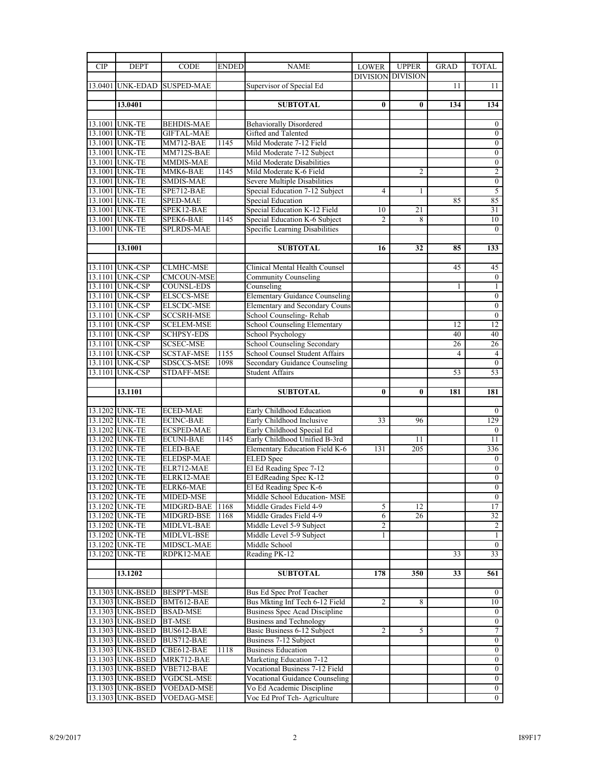| <b>CIP</b> | <b>DEPT</b>                          | <b>CODE</b>                     | <b>ENDED</b> | <b>NAME</b>                                              | <b>LOWER</b>    | <b>UPPER</b>    | <b>GRAD</b>    | <b>TOTAL</b>                     |
|------------|--------------------------------------|---------------------------------|--------------|----------------------------------------------------------|-----------------|-----------------|----------------|----------------------------------|
|            |                                      |                                 |              |                                                          | <b>DIVISION</b> | <b>DIVISION</b> |                |                                  |
|            |                                      | 13.0401 UNK-EDAD SUSPED-MAE     |              | Supervisor of Special Ed                                 |                 |                 | 11             | 11                               |
|            |                                      |                                 |              |                                                          |                 |                 |                |                                  |
|            | 13.0401                              |                                 |              | <b>SUBTOTAL</b>                                          | $\bf{0}$        | $\bf{0}$        | 134            | 134                              |
|            |                                      |                                 |              |                                                          |                 |                 |                |                                  |
|            | 13.1001 UNK-TE                       | <b>BEHDIS-MAE</b>               |              | <b>Behaviorally Disordered</b>                           |                 |                 |                | $\overline{0}$                   |
|            | 13.1001 UNK-TE                       | <b>GIFTAL-MAE</b>               |              | Gifted and Talented                                      |                 |                 |                | $\boldsymbol{0}$                 |
|            | 13.1001 UNK-TE                       | MM712-BAE                       | 1145         | Mild Moderate 7-12 Field                                 |                 |                 |                | $\overline{0}$                   |
|            | 13.1001 UNK-TE                       | MM712S-BAE                      |              | Mild Moderate 7-12 Subject                               |                 |                 |                | $\mathbf{0}$                     |
|            | 13.1001 UNK-TE                       | MMDIS-MAE                       |              | Mild Moderate Disabilities                               |                 |                 |                | $\boldsymbol{0}$                 |
|            | 13.1001 UNK-TE                       | MMK6-BAE                        | 1145         | Mild Moderate K-6 Field                                  |                 | $\overline{c}$  |                | $\overline{2}$                   |
|            | 13.1001 UNK-TE                       | <b>SMDIS-MAE</b>                |              | Severe Multiple Disabilities                             |                 |                 |                | $\mathbf{0}$                     |
|            | 13.1001 UNK-TE                       | SPE712-BAE                      |              | Special Education 7-12 Subject                           | 4               | 1               |                | 5                                |
|            | 13.1001 UNK-TE                       | <b>SPED-MAE</b>                 |              | <b>Special Education</b>                                 |                 |                 | 85             | 85                               |
|            | 13.1001 UNK-TE                       | SPEK12-BAE                      |              | Special Education K-12 Field                             | 10              | 21              |                | 31                               |
|            | 13.1001 UNK-TE                       | SPEK6-BAE                       | 1145         | Special Education K-6 Subject                            | $\overline{c}$  | 8               |                | 10                               |
|            | 13.1001 UNK-TE                       | <b>SPLRDS-MAE</b>               |              | Specific Learning Disabilities                           |                 |                 |                | $\overline{0}$                   |
|            |                                      |                                 |              |                                                          |                 |                 |                |                                  |
|            | 13.1001                              |                                 |              | <b>SUBTOTAL</b>                                          | 16              | 32              | 85             | 133                              |
|            |                                      |                                 |              |                                                          |                 |                 |                |                                  |
|            | 13.1101 UNK-CSP                      | <b>CLMHC-MSE</b>                |              | Clinical Mental Health Counsel                           |                 |                 | 45             | 45                               |
|            | 13.1101 UNK-CSP                      | <b>CMCOUN-MSE</b>               |              | <b>Community Counseling</b>                              |                 |                 |                | $\overline{0}$                   |
|            | 13.1101 UNK-CSP                      | <b>COUNSL-EDS</b>               |              | Counseling                                               |                 |                 | 1              | $\mathbf{1}$                     |
|            | 13.1101 UNK-CSP                      | <b>ELSCCS-MSE</b>               |              | <b>Elementary Guidance Counseling</b>                    |                 |                 |                | $\boldsymbol{0}$                 |
|            | 13.1101 UNK-CSP                      | <b>ELSCDC-MSE</b>               |              | Elementary and Secondary Couns                           |                 |                 |                | $\overline{0}$                   |
|            | 13.1101 UNK-CSP                      | <b>SCCSRH-MSE</b>               |              | School Counseling-Rehab                                  |                 |                 |                | $\overline{0}$                   |
|            | 13.1101 UNK-CSP                      | <b>SCELEM-MSE</b>               |              | School Counseling Elementary                             |                 |                 | 12             | $\overline{12}$                  |
|            | 13.1101 UNK-CSP                      |                                 |              | School Psychology                                        |                 |                 | 40             | 40                               |
|            | 13.1101 UNK-CSP                      | SCHPSY-EDS<br><b>SCSEC-MSE</b>  |              | School Counseling Secondary                              |                 |                 | 26             | 26                               |
|            |                                      |                                 |              |                                                          |                 |                 | $\overline{4}$ |                                  |
|            | 13.1101 UNK-CSP                      | SCSTAF-MSE                      | 1155         | School Counsel Student Affairs                           |                 |                 |                | 4<br>$\overline{0}$              |
|            | 13.1101 UNK-CSP                      | SDSCCS-MSE                      | 1098         | Secondary Guidance Counseling                            |                 |                 |                |                                  |
|            | 13.1101 UNK-CSP                      | STDAFF-MSE                      |              | <b>Student Affairs</b>                                   |                 |                 | 53             | 53                               |
|            |                                      |                                 |              |                                                          |                 |                 |                |                                  |
|            |                                      |                                 |              |                                                          |                 |                 |                |                                  |
|            | 13.1101                              |                                 |              | <b>SUBTOTAL</b>                                          | $\bf{0}$        | 0               | 181            | 181                              |
|            |                                      |                                 |              |                                                          |                 |                 |                |                                  |
|            | 13.1202 UNK-TE                       | <b>ECED-MAE</b>                 |              | Early Childhood Education                                |                 |                 |                | $\mathbf{0}$                     |
|            | 13.1202 UNK-TE                       | <b>ECINC-BAE</b>                |              | Early Childhood Inclusive                                | 33              | 96              |                | 129                              |
|            | 13.1202 UNK-TE                       | <b>ECSPED-MAE</b>               |              | Early Childhood Special Ed                               |                 |                 |                | $\mathbf{0}$                     |
|            | 13.1202 UNK-TE                       | <b>ECUNI-BAE</b>                | 1145         | Early Childhood Unified B-3rd                            |                 | 11              |                | 11                               |
|            | 13.1202 UNK-TE                       | <b>ELED-BAE</b>                 |              | Elementary Education Field K-6                           | 131             | 205             |                | 336                              |
|            | 13.1202 UNK-TE                       | ELEDSP-MAE                      |              | <b>ELED</b> Spec                                         |                 |                 |                | $\boldsymbol{0}$                 |
|            | 13.1202 UNK-TE                       | ELR712-MAE                      |              | El Ed Reading Spec 7-12                                  |                 |                 |                | $\mathbf{0}$                     |
|            | 13.1202 UNK-TE                       | ELRK12-MAE                      |              | El EdReading Spec K-12                                   |                 |                 |                | $\overline{0}$                   |
|            | 13.1202 UNK-TE                       | ELRK6-MAE                       |              | El Ed Reading Spec K-6                                   |                 |                 |                | $\mathbf{0}$                     |
|            | 13.1202 UNK-TE                       | MIDED-MSE                       |              | Middle School Education-MSE                              |                 |                 |                | $\overline{0}$                   |
|            | 13.1202 UNK-TE                       | MIDGRD-BAE                      | 1168         | Middle Grades Field 4-9                                  | 5               | 12              |                | 17                               |
|            | 13.1202 UNK-TE                       | MIDGRD-BSE                      | 1168         | Middle Grades Field 4-9                                  | 6               | 26              |                | 32                               |
|            | 13.1202 UNK-TE                       | MIDLVL-BAE                      |              | Middle Level 5-9 Subject                                 | 2               |                 |                | $\overline{2}$                   |
|            | 13.1202 UNK-TE                       | MIDLVL-BSE                      |              | Middle Level 5-9 Subject                                 | 1               |                 |                | $\mathbf{1}$                     |
|            | 13.1202 UNK-TE                       | MIDSCL-MAE                      |              | Middle School                                            |                 |                 |                | $\overline{0}$                   |
|            | 13.1202 UNK-TE                       | RDPK12-MAE                      |              | Reading PK-12                                            |                 |                 | 33             | 33                               |
|            |                                      |                                 |              |                                                          |                 |                 |                |                                  |
|            | 13.1202                              |                                 |              | <b>SUBTOTAL</b>                                          | 178             | 350             | 33             | 561                              |
|            |                                      |                                 |              |                                                          |                 |                 |                |                                  |
|            | 13.1303 UNK-BSED                     | <b>BESPPT-MSE</b>               |              | Bus Ed Spec Prof Teacher                                 |                 |                 |                | $\overline{0}$                   |
|            | 13.1303 UNK-BSED                     | BMT612-BAE                      |              | Bus Mkting Inf Tech 6-12 Field                           | 2               | 8               |                | 10                               |
|            | 13.1303 UNK-BSED                     | <b>BSAD-MSE</b>                 |              | Business Spec Acad Discipline                            |                 |                 |                | $\overline{0}$                   |
|            | 13.1303 UNK-BSED                     | <b>BT-MSE</b>                   |              | <b>Business and Technology</b>                           |                 |                 |                | $\mathbf{0}$                     |
|            | 13.1303 UNK-BSED                     | BUS612-BAE                      |              | Basic Business 6-12 Subject                              | 2               | 5               |                | 7                                |
|            | 13.1303 UNK-BSED                     | BUS712-BAE                      |              | Business 7-12 Subject                                    |                 |                 |                | $\overline{0}$                   |
|            | 13.1303 UNK-BSED                     | CBE612-BAE                      | 1118         | <b>Business Education</b>                                |                 |                 |                | $\overline{0}$                   |
|            | 13.1303 UNK-BSED                     | MRK712-BAE                      |              | Marketing Education 7-12                                 |                 |                 |                | $\overline{0}$                   |
|            | 13.1303 UNK-BSED                     | VBE712-BAE                      |              | Vocational Business 7-12 Field                           |                 |                 |                | $\overline{0}$                   |
|            | 13.1303 UNK-BSED                     | VGDCSL-MSE                      |              | <b>Vocational Guidance Counseling</b>                    |                 |                 |                | $\overline{0}$                   |
|            | 13.1303 UNK-BSED<br>13.1303 UNK-BSED | VOEDAD-MSE<br><b>VOEDAG-MSE</b> |              | Vo Ed Academic Discipline<br>Voc Ed Prof Tch-Agriculture |                 |                 |                | $\overline{0}$<br>$\overline{0}$ |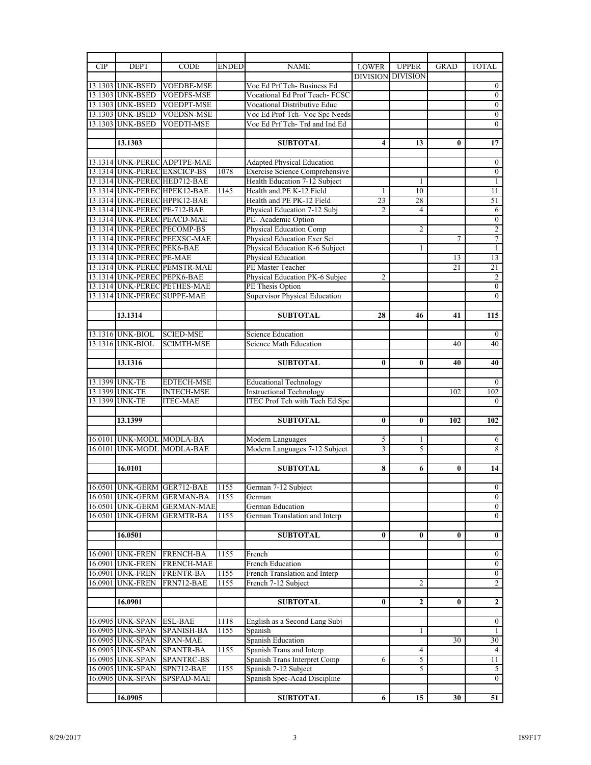| <b>CIP</b> | <b>DEPT</b>                  | <b>CODE</b>                  | <b>ENDED</b> | <b>NAME</b>                           | <b>LOWER</b>             | <b>UPPER</b>    | <b>GRAD</b> | <b>TOTAL</b>     |
|------------|------------------------------|------------------------------|--------------|---------------------------------------|--------------------------|-----------------|-------------|------------------|
|            |                              |                              |              |                                       | <b>DIVISION DIVISION</b> |                 |             |                  |
|            | 13.1303 UNK-BSED             | <b>VOEDBE-MSE</b>            |              | Voc Ed Prf Tch- Business Ed           |                          |                 |             | $^{0}$           |
|            | 13.1303 UNK-BSED             | <b>VOEDFS-MSE</b>            |              | Vocational Ed Prof Teach-FCSC         |                          |                 |             | $\overline{0}$   |
|            | 13.1303 UNK-BSED             | <b>VOEDPT-MSE</b>            |              | Vocational Distributive Educ          |                          |                 |             | $\boldsymbol{0}$ |
|            |                              |                              |              |                                       |                          |                 |             |                  |
|            | 13.1303 UNK-BSED             | <b>VOEDSN-MSE</b>            |              | Voc Ed Prof Tch- Voc Spc Needs        |                          |                 |             | $\overline{0}$   |
|            | 13.1303 UNK-BSED             | <b>VOEDTI-MSE</b>            |              | Voc Ed Prf Tch-Trd and Ind Ed         |                          |                 |             | $\overline{0}$   |
|            |                              |                              |              |                                       |                          |                 |             |                  |
|            | 13.1303                      |                              |              | <b>SUBTOTAL</b>                       | 4                        | 13              | 0           | 17               |
|            |                              |                              |              |                                       |                          |                 |             |                  |
|            |                              | 13.1314 UNK-PEREC ADPTPE-MAE |              | Adapted Physical Education            |                          |                 |             | $\overline{0}$   |
|            |                              | 13.1314 UNK-PEREC EXSCICP-BS | 1078         | <b>Exercise Science Comprehensive</b> |                          |                 |             | $\boldsymbol{0}$ |
|            |                              | 13.1314 UNK-PEREC HED712-BAE |              | Health Education 7-12 Subject         |                          | 1               |             | 1                |
|            |                              | 13.1314 UNK-PEREC HPEK12-BAE | 1145         | Health and PE K-12 Field              | 1                        | 10              |             | 11               |
|            |                              | 13.1314 UNK-PEREC HPPK12-BAE |              | Health and PE PK-12 Field             | $\overline{23}$          | 28              |             | 51               |
|            | 13.1314 UNK-PEREC PE-712-BAE |                              |              | Physical Education 7-12 Subj          | 2                        | 4               |             | 6                |
|            |                              | 13.1314 UNK-PEREC PEACD-MAE  |              | PE-Academic Option                    |                          |                 |             | $\mathbf{0}$     |
|            |                              |                              |              |                                       |                          |                 |             |                  |
|            | 13.1314 UNK-PEREC PECOMP-BS  |                              |              | <b>Physical Education Comp</b>        |                          | $\overline{2}$  |             | $\overline{c}$   |
|            |                              | 13.1314 UNK-PEREC PEEXSC-MAE |              | Physical Education Exer Sci           |                          |                 | 7           | 7                |
|            | 13.1314 UNK-PEREC PEK6-BAE   |                              |              | Physical Education K-6 Subject        |                          | 1               |             | $\mathbf{1}$     |
|            | 13.1314 UNK-PEREC PE-MAE     |                              |              | Physical Education                    |                          |                 | 13          | 13               |
|            |                              | 13.1314 UNK-PEREC PEMSTR-MAE |              | PE Master Teacher                     |                          |                 | 21          | 21               |
|            | 13.1314 UNK-PEREC PEPK6-BAE  |                              |              | Physical Education PK-6 Subjec        | $\overline{2}$           |                 |             | $\overline{c}$   |
|            |                              | 13.1314 UNK-PEREC PETHES-MAE |              | PE Thesis Option                      |                          |                 |             | $\overline{0}$   |
|            | 13.1314 UNK-PEREC SUPPE-MAE  |                              |              | <b>Supervisor Physical Education</b>  |                          |                 |             | $\overline{0}$   |
|            |                              |                              |              |                                       |                          |                 |             |                  |
|            | 13.1314                      |                              |              | <b>SUBTOTAL</b>                       | 28                       | 46              | 41          | 115              |
|            |                              |                              |              |                                       |                          |                 |             |                  |
|            | 13.1316 UNK-BIOL             | <b>SCIED-MSE</b>             |              | Science Education                     |                          |                 |             | $\overline{0}$   |
|            | 13.1316 UNK-BIOL             | <b>SCIMTH-MSE</b>            |              | Science Math Education                |                          |                 | 40          | 40               |
|            |                              |                              |              |                                       |                          |                 |             |                  |
|            |                              |                              |              |                                       |                          |                 |             |                  |
|            | 13.1316                      |                              |              | <b>SUBTOTAL</b>                       | $\bf{0}$                 | 0               | 40          | 40               |
|            |                              |                              |              |                                       |                          |                 |             |                  |
|            | 13.1399 UNK-TE               | <b>EDTECH-MSE</b>            |              | <b>Educational Technology</b>         |                          |                 |             | $\overline{0}$   |
|            | 13.1399 UNK-TE               | <b>INTECH-MSE</b>            |              | <b>Instructional Technology</b>       |                          |                 | 102         | 102              |
|            | 13.1399 UNK-TE               | <b>ITEC-MAE</b>              |              | <b>ITEC Prof Tch with Tech Ed Spc</b> |                          |                 |             | $\theta$         |
|            |                              |                              |              |                                       |                          |                 |             |                  |
|            | 13.1399                      |                              |              | <b>SUBTOTAL</b>                       | $\bf{0}$                 | $\bf{0}$        | 102         | 102              |
|            |                              |                              |              |                                       |                          |                 |             |                  |
|            | 16.0101 UNK-MODL MODLA-BA    |                              |              | Modern Languages                      | 5                        | 1               |             | 6                |
|            |                              | 16.0101 UNK-MODL MODLA-BAE   |              | Modern Languages 7-12 Subject         | 3                        | 5               |             | 8                |
|            |                              |                              |              |                                       |                          |                 |             |                  |
|            | 16.0101                      |                              |              | <b>SUBTOTAL</b>                       | 8                        | 6               | 0           | 14               |
|            |                              |                              |              |                                       |                          |                 |             |                  |
|            |                              | 16.0501 UNK-GERM GER712-BAE  | 1155         | German 7-12 Subject                   |                          |                 |             | $\theta$         |
|            |                              | 16.0501 UNK-GERM GERMAN-BA   | 1155         | German                                |                          |                 |             | $\overline{0}$   |
|            |                              | 16.0501 UNK-GERM GERMAN-MAE  |              | German Education                      |                          |                 |             | $\overline{0}$   |
|            |                              |                              |              |                                       |                          |                 |             |                  |
|            |                              | 16.0501 UNK-GERM GERMTR-BA   | 1155         | German Translation and Interp         |                          |                 |             | $\overline{0}$   |
|            |                              |                              |              |                                       |                          |                 |             |                  |
|            | 16.0501                      |                              |              | <b>SUBTOTAL</b>                       | $\bf{0}$                 | $\bf{0}$        | $\bf{0}$    | $\bf{0}$         |
|            |                              |                              |              |                                       |                          |                 |             |                  |
|            | 16.0901 UNK-FREN             | <b>FRENCH-BA</b>             | 1155         | French                                |                          |                 |             | $\overline{0}$   |
|            | 16.0901 UNK-FREN             | <b>FRENCH-MAE</b>            |              | French Education                      |                          |                 |             | $\overline{0}$   |
|            | 16.0901 UNK-FREN             | <b>FRENTR-BA</b>             | 1155         | French Translation and Interp         |                          |                 |             | $\overline{0}$   |
| 16.0901    | <b>UNK-FREN</b>              | FRN712-BAE                   | 1155         | French 7-12 Subject                   |                          | $\overline{c}$  |             | $\overline{2}$   |
|            |                              |                              |              |                                       |                          |                 |             |                  |
|            | 16.0901                      |                              |              | <b>SUBTOTAL</b>                       | $\bf{0}$                 | $\mathbf{2}$    | $\bf{0}$    | $\mathbf{2}$     |
|            |                              |                              |              |                                       |                          |                 |             |                  |
|            | 16.0905 UNK-SPAN             | <b>ESL-BAE</b>               | 1118         | English as a Second Lang Subj         |                          |                 |             | $\overline{0}$   |
|            | 16.0905 UNK-SPAN             | SPANISH-BA                   | 1155         | Spanish                               |                          | 1               |             | $\mathbf{1}$     |
|            | 16.0905 UNK-SPAN             | <b>SPAN-MAE</b>              |              | Spanish Education                     |                          |                 | 30          | 30               |
|            |                              |                              |              |                                       |                          |                 |             |                  |
|            | 16.0905 UNK-SPAN             | <b>SPANTR-BA</b>             | 1155         | Spanish Trans and Interp              |                          | 4               |             | 4                |
|            | 16.0905 UNK-SPAN             | SPANTRC-BS                   |              | Spanish Trans Interpret Comp          | 6                        | 5               |             | 11               |
|            | 16.0905 UNK-SPAN             | SPN712-BAE                   | 1155         | Spanish 7-12 Subject                  |                          | 5               |             | 5                |
|            | 16.0905 UNK-SPAN             | SPSPAD-MAE                   |              | Spanish Spec-Acad Discipline          |                          |                 |             | $\overline{0}$   |
|            |                              |                              |              |                                       |                          |                 |             |                  |
|            | 16.0905                      |                              |              | <b>SUBTOTAL</b>                       | 6                        | $\overline{15}$ | 30          | 51               |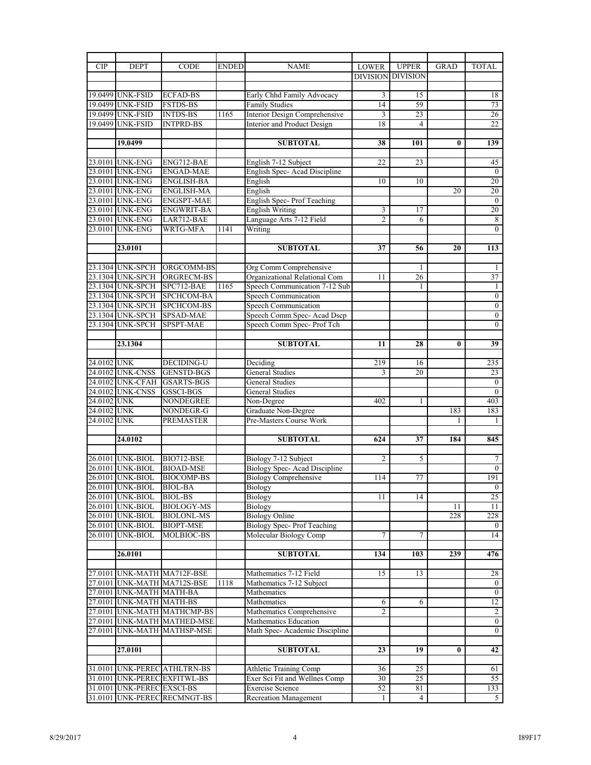| CIP         | <b>DEPT</b>                         | <b>CODE</b>                    | <b>ENDED</b> | <b>NAME</b>                                                 | <b>LOWER</b>    | <b>UPPER</b>             | <b>GRAD</b>  | <b>TOTAL</b>         |
|-------------|-------------------------------------|--------------------------------|--------------|-------------------------------------------------------------|-----------------|--------------------------|--------------|----------------------|
|             |                                     |                                |              |                                                             |                 | <b>DIVISION DIVISION</b> |              |                      |
|             |                                     |                                |              |                                                             |                 |                          |              |                      |
|             | 19.0499 UNK-FSID                    | <b>ECFAD-BS</b>                |              | Early Chhd Family Advocacy                                  | 3               | 15                       |              | 18                   |
|             | 19.0499 UNK-FSID                    | <b>FSTDS-BS</b>                |              | <b>Family Studies</b>                                       | $\overline{14}$ | 59                       |              | 73                   |
|             | 19.0499 UNK-FSID                    | <b>INTDS-BS</b>                | 1165         | Interior Design Comprehensive                               | 3               | 23                       |              | 26                   |
|             | 19.0499 UNK-FSID                    | <b>INTPRD-BS</b>               |              | Interior and Product Design                                 | 18              | $\overline{4}$           |              | 22                   |
|             | 19.0499                             |                                |              |                                                             |                 |                          |              | 139                  |
|             |                                     |                                |              | <b>SUBTOTAL</b>                                             | 38              | 101                      | $\bf{0}$     |                      |
|             | 23.0101 UNK-ENG                     | ENG712-BAE                     |              | English 7-12 Subject                                        | 22              | 23                       |              | 45                   |
|             | 23.0101 UNK-ENG                     | <b>ENGAD-MAE</b>               |              | English Spec-Acad Discipline                                |                 |                          |              | $\mathbf{0}$         |
|             | 23.0101 UNK-ENG                     | <b>ENGLISH-BA</b>              |              | English                                                     | 10              | 10                       |              | $\overline{20}$      |
|             | 23.0101 UNK-ENG                     | <b>ENGLISH-MA</b>              |              | English                                                     |                 |                          | 20           | 20                   |
|             | 23.0101 UNK-ENG                     | <b>ENGSPT-MAE</b>              |              | English Spec-Prof Teaching                                  |                 |                          |              | $\mathbf{0}$         |
|             | 23.0101 UNK-ENG                     | <b>ENGWRIT-BA</b>              |              | <b>English Writing</b>                                      | 3               | 17                       |              | 20                   |
|             | 23.0101 UNK-ENG                     | LAR712-BAE                     |              | Language Arts 7-12 Field                                    | $\overline{2}$  | 6                        |              | 8                    |
|             | 23.0101 UNK-ENG                     | WRTG-MFA                       | 1141         | Writing                                                     |                 |                          |              | $\overline{0}$       |
|             |                                     |                                |              |                                                             |                 |                          |              |                      |
|             | 23.0101                             |                                |              | <b>SUBTOTAL</b>                                             | 37              | 56                       | 20           | 113                  |
|             |                                     |                                |              |                                                             |                 |                          |              |                      |
|             | 23.1304 UNK-SPCH                    | ORGCOMM-BS                     |              | Org Comm Comprehensive                                      |                 | 1                        |              | 1                    |
|             | 23.1304 UNK-SPCH                    | ORGRECM-BS                     |              | Organizational Relational Com                               | 11              | 26                       |              | 37                   |
|             | 23.1304 UNK-SPCH                    | SPC712-BAE                     | 1165         | Speech Communication 7-12 Sub                               |                 | 1                        |              | $\mathbf{1}$         |
|             | 23.1304 UNK-SPCH                    | SPCHCOM-BA                     |              | <b>Speech Communication</b>                                 |                 |                          |              | $\boldsymbol{0}$     |
|             | 23.1304 UNK-SPCH                    | <b>SPCHCOM-BS</b>              |              | Speech Communication                                        |                 |                          |              | $\boldsymbol{0}$     |
|             | 23.1304 UNK-SPCH                    | <b>SPSAD-MAE</b>               |              | Speech Comm Spec- Acad Dscp                                 |                 |                          |              | $\boldsymbol{0}$     |
|             | 23.1304 UNK-SPCH                    | SPSPT-MAE                      |              | Speech Comm Spec- Prof Tch                                  |                 |                          |              | $\overline{0}$       |
|             |                                     |                                |              |                                                             |                 |                          |              |                      |
|             | 23.1304                             |                                |              | <b>SUBTOTAL</b>                                             | 11              | 28                       | $\mathbf{0}$ | 39                   |
| 24.0102 UNK |                                     | <b>DECIDING-U</b>              |              | Deciding                                                    | 219             | 16                       |              | 235                  |
|             | 24.0102 UNK-CNSS                    | <b>GENSTD-BGS</b>              |              | <b>General Studies</b>                                      | 3               | 20                       |              | 23                   |
|             | 24.0102 UNK-CFAH                    | <b>GSARTS-BGS</b>              |              | General Studies                                             |                 |                          |              | $\boldsymbol{0}$     |
|             | 24.0102 UNK-CNSS                    | <b>GSSCI-BGS</b>               |              | <b>General Studies</b>                                      |                 |                          |              | $\overline{0}$       |
| 24.0102 UNK |                                     | NONDEGREE                      |              | Non-Degree                                                  | 402             | 1                        |              | 403                  |
| 24.0102 UNK |                                     | NONDEGR-G                      |              | Graduate Non-Degree                                         |                 |                          | 183          | 183                  |
| 24.0102 UNK |                                     | PREMASTER                      |              | Pre-Masters Course Work                                     |                 |                          | 1            | 1                    |
|             |                                     |                                |              |                                                             |                 |                          |              |                      |
|             | 24.0102                             |                                |              | <b>SUBTOTAL</b>                                             | 624             | 37                       | 184          | 845                  |
|             |                                     |                                |              |                                                             |                 |                          |              |                      |
|             | 26.0101 UNK-BIOL                    | <b>BIO712-BSE</b>              |              | Biology 7-12 Subject                                        | $\overline{2}$  | 5                        |              | 7                    |
| 26.0101     | <b>UNK-BIOL</b>                     | <b>BIOAD-MSE</b>               |              | Biology Spec-Acad Discipline                                |                 |                          |              | $\mathbf{0}$         |
|             | 26.0101 UNK-BIOL                    | <b>BIOCOMP-BS</b>              |              | <b>Biology Comprehensive</b>                                | 114             | 77                       |              | 191                  |
|             | 26.0101 UNK-BIOL                    | <b>BIOL-BA</b>                 |              | Biology                                                     |                 |                          |              | $\mathbf{U}$         |
|             | 26.0101 UNK-BIOL                    | BIOL-BS                        |              | Biology                                                     | 11              | 14                       |              | 25                   |
|             | 26.0101 UNK-BIOL                    | BIOLOGY-MS                     |              | Biology                                                     |                 |                          | 11           | 11                   |
|             | 26.0101 UNK-BIOL                    | <b>BIOLONL-MS</b>              |              | <b>Biology Online</b>                                       |                 |                          | 228          | 228                  |
| 26.0101     | 26.0101 UNK-BIOL<br><b>UNK-BIOL</b> | <b>BIOPT-MSE</b><br>MOLBIOC-BS |              | <b>Biology Spec-Prof Teaching</b><br>Molecular Biology Comp | 7               | 7                        |              | $\overline{0}$<br>14 |
|             |                                     |                                |              |                                                             |                 |                          |              |                      |
|             | 26.0101                             |                                |              | <b>SUBTOTAL</b>                                             | 134             | 103                      | 239          | 476                  |
|             |                                     |                                |              |                                                             |                 |                          |              |                      |
|             |                                     | 27.0101 UNK-MATH MA712F-BSE    |              | Mathematics 7-12 Field                                      | 15              | 13                       |              | 28                   |
|             |                                     | 27.0101 UNK-MATH MA712S-BSE    | 1118         | Mathematics 7-12 Subject                                    |                 |                          |              | $\overline{0}$       |
|             | 27.0101 UNK-MATH MATH-BA            |                                |              | Mathematics                                                 |                 |                          |              | $\boldsymbol{0}$     |
|             | 27.0101 UNK-MATH MATH-BS            |                                |              | Mathematics                                                 | 6               | 6                        |              | 12                   |
|             |                                     | 27.0101 UNK-MATH MATHCMP-BS    |              | Mathematics Comprehensive                                   | $\overline{2}$  |                          |              | $\overline{2}$       |
|             |                                     | 27.0101 UNK-MATH MATHED-MSE    |              | Mathematics Education                                       |                 |                          |              | $\mathbf{0}$         |
|             |                                     | 27.0101 UNK-MATH MATHSP-MSE    |              | Math Spec- Academic Discipline                              |                 |                          |              | $\overline{0}$       |
|             |                                     |                                |              |                                                             |                 |                          |              |                      |
|             | 27.0101                             |                                |              | <b>SUBTOTAL</b>                                             | 23              | 19                       | $\bf{0}$     | 42                   |
|             |                                     |                                |              |                                                             |                 |                          |              |                      |
|             |                                     | 31.0101 UNK-PEREC ATHLTRN-BS   |              | <b>Athletic Training Comp</b>                               | 36              | 25                       |              | 61                   |
|             |                                     | 31.0101 UNK-PEREC EXFITWL-BS   |              | Exer Sci Fit and Wellnes Comp                               | 30              | 25                       |              | 55                   |
| 31.0101     | <b>UNK-PEREC EXSCI-BS</b>           |                                |              | <b>Exercise Science</b>                                     | 52              | 81                       |              | 133                  |
|             |                                     | 31.0101 UNK-PEREC RECMNGT-BS   |              | <b>Recreation Management</b>                                | $\mathbf{1}$    | 4                        |              | 5                    |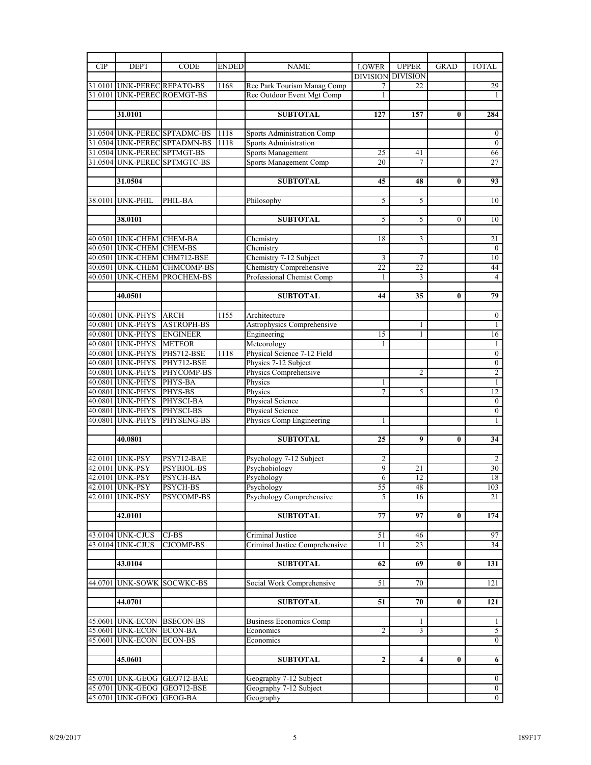| <b>CIP</b> | <b>DEPT</b>                 | <b>CODE</b>                  | <b>ENDED</b> | <b>NAME</b>                                      | <b>LOWER</b>   | <b>UPPER</b>             | <b>GRAD</b> | <b>TOTAL</b>                     |
|------------|-----------------------------|------------------------------|--------------|--------------------------------------------------|----------------|--------------------------|-------------|----------------------------------|
|            |                             |                              |              |                                                  |                | <b>DIVISION DIVISION</b> |             |                                  |
|            | 31.0101 UNK-PEREC REPATO-BS |                              | 1168         | Rec Park Tourism Manag Comp                      | 7              | 22                       |             | 29                               |
|            |                             | 31.0101 UNK-PEREC ROEMGT-BS  |              | Rec Outdoor Event Mgt Comp                       | 1              |                          |             | 1                                |
|            |                             |                              |              |                                                  |                |                          |             |                                  |
|            | 31.0101                     |                              |              | <b>SUBTOTAL</b>                                  | 127            | 157                      | 0           | 284                              |
|            |                             |                              |              |                                                  |                |                          |             |                                  |
|            |                             | 31.0504 UNK-PEREC SPTADMC-BS | 1118         | <b>Sports Administration Comp</b>                |                |                          |             | $\boldsymbol{0}$                 |
|            |                             | 31.0504 UNK-PEREC SPTADMN-BS | 1118         | <b>Sports Administration</b>                     |                |                          |             | $\overline{0}$                   |
|            | 31.0504 UNK-PEREC SPTMGT-BS |                              |              | Sports Management                                | 25             | 41                       |             | 66                               |
|            |                             | 31.0504 UNK-PEREC SPTMGTC-BS |              | Sports Management Comp                           | 20             | 7                        |             | 27                               |
|            |                             |                              |              |                                                  |                |                          |             |                                  |
|            | 31.0504                     |                              |              | <b>SUBTOTAL</b>                                  | 45             | 48                       | 0           | 93                               |
|            | 38.0101 UNK-PHIL            | PHIL-BA                      |              |                                                  | 5              | 5                        |             | 10                               |
|            |                             |                              |              | Philosophy                                       |                |                          |             |                                  |
|            | 38.0101                     |                              |              | <b>SUBTOTAL</b>                                  | 5              | 5                        | $\theta$    | 10                               |
|            |                             |                              |              |                                                  |                |                          |             |                                  |
|            | 40.0501 UNK-CHEM CHEM-BA    |                              |              | Chemistry                                        | 18             | 3                        |             | 21                               |
|            | 40.0501 UNK-CHEM CHEM-BS    |                              |              | Chemistry                                        |                |                          |             | $\mathbf{0}$                     |
|            |                             | 40.0501 UNK-CHEM CHM712-BSE  |              | Chemistry 7-12 Subject                           | 3              | 7                        |             | 10                               |
|            |                             | 40.0501 UNK-CHEM CHMCOMP-BS  |              | Chemistry Comprehensive                          | 22             | 22                       |             | 44                               |
|            |                             | 40.0501 UNK-CHEM PROCHEM-BS  |              | Professional Chemist Comp                        | 1              | 3                        |             | $\overline{4}$                   |
|            |                             |                              |              |                                                  |                |                          |             |                                  |
|            | 40.0501                     |                              |              | <b>SUBTOTAL</b>                                  | 44             | 35                       | $\bf{0}$    | 79                               |
|            |                             |                              |              |                                                  |                |                          |             |                                  |
|            | 40.0801 UNK-PHYS            | <b>ARCH</b>                  | 1155         | Architecture                                     |                |                          |             | $\mathbf{0}$                     |
|            | 40.0801 UNK-PHYS            | <b>ASTROPH-BS</b>            |              | Astrophysics Comprehensive                       |                | 1                        |             | 1                                |
|            | 40.0801 UNK-PHYS            | <b>ENGINEER</b>              |              | Engineering                                      | 15             | 1                        |             | 16                               |
|            | 40.0801 UNK-PHYS            | <b>METEOR</b>                |              | Meteorology                                      | 1              |                          |             | 1                                |
|            | 40.0801 UNK-PHYS            | PHS712-BSE                   | 1118         | Physical Science 7-12 Field                      |                |                          |             | $\boldsymbol{0}$                 |
|            | 40.0801 UNK-PHYS            | PHY712-BSE                   |              | Physics 7-12 Subject                             |                |                          |             | $\overline{0}$                   |
|            | 40.0801 UNK-PHYS            | PHYCOMP-BS                   |              | Physics Comprehensive                            |                | $\overline{2}$           |             | $\overline{c}$                   |
|            | 40.0801 UNK-PHYS            | PHYS-BA                      |              | Physics                                          | 1              |                          |             | $\mathbf{1}$                     |
|            | 40.0801 UNK-PHYS            | PHYS-BS                      |              | Physics                                          | 7              | 5                        |             | 12                               |
|            | 40.0801 UNK-PHYS            | PHYSCI-BA                    |              | Physical Science                                 |                |                          |             | $\boldsymbol{0}$                 |
|            | 40.0801 UNK-PHYS            | PHYSCI-BS                    |              | Physical Science                                 |                |                          |             | $\mathbf{0}$                     |
|            | 40.0801 UNK-PHYS            | PHYSENG-BS                   |              | Physics Comp Engineering                         | 1              |                          |             | $\mathbf{1}$                     |
|            |                             |                              |              |                                                  |                |                          |             |                                  |
|            | 40.0801                     |                              |              | <b>SUBTOTAL</b>                                  | 25             | 9                        | 0           | 34                               |
|            | 42,0101 UNK-PSY             | PSY712-BAE                   |              | Psychology 7-12 Subject                          |                |                          |             |                                  |
|            | 42.0101 UNK-PSY             | PSYBIOL-BS                   |              |                                                  | 2<br>9         | 21                       |             | 2<br>$\overline{30}$             |
|            | 42.0101 UNK-PSY             | PSYCH-BA                     |              | Psychobiology<br>Psychology                      | 6              | 12                       |             | 18                               |
|            | 42.0101 UNK-PSY             | PSYCH-BS                     |              | Psychology                                       | 55             | 48                       |             | 103                              |
|            | 42.0101 UNK-PSY             | PSYCOMP-BS                   |              | Psychology Comprehensive                         | 5              | 16                       |             | 21                               |
|            |                             |                              |              |                                                  |                |                          |             |                                  |
|            | 42.0101                     |                              |              | <b>SUBTOTAL</b>                                  | 77             | 97                       | $\bf{0}$    | 174                              |
|            |                             |                              |              |                                                  |                |                          |             |                                  |
|            | 43.0104 UNK-CJUS            | CJ-BS                        |              | Criminal Justice                                 | 51             | 46                       |             | 97                               |
| 43.0104    | <b>UNK-CJUS</b>             | <b>CJCOMP-BS</b>             |              | Criminal Justice Comprehensive                   | 11             | 23                       |             | 34                               |
|            |                             |                              |              |                                                  |                |                          |             |                                  |
|            | 43.0104                     |                              |              | <b>SUBTOTAL</b>                                  | 62             | 69                       | 0           | 131                              |
|            |                             |                              |              |                                                  |                |                          |             |                                  |
| 44.0701    |                             | <b>UNK-SOWK SOCWKC-BS</b>    |              | Social Work Comprehensive                        | 51             | 70                       |             | 121                              |
|            |                             |                              |              |                                                  |                |                          |             |                                  |
|            | 44.0701                     |                              |              | <b>SUBTOTAL</b>                                  | 51             | 70                       | $\bf{0}$    | 121                              |
|            |                             |                              |              |                                                  |                |                          |             |                                  |
| 45.0601    | <b>UNK-ECON BSECON-BS</b>   |                              |              | <b>Business Economics Comp</b>                   |                | 1                        |             | 1                                |
| 45.0601    | <b>UNK-ECON ECON-BA</b>     |                              |              | Economics                                        | $\overline{2}$ | 3                        |             | 5                                |
| 45.0601    | <b>UNK-ECON</b>             | <b>ECON-BS</b>               |              | Economics                                        |                |                          |             | $\overline{0}$                   |
|            |                             |                              |              |                                                  |                |                          |             |                                  |
|            | 45.0601                     |                              |              | <b>SUBTOTAL</b>                                  | $\mathbf{2}$   | 4                        | 0           | 6                                |
|            |                             | 45.0701 UNK-GEOG GEO712-BAE  |              |                                                  |                |                          |             |                                  |
| 45.0701    |                             | UNK-GEOG GEO712-BSE          |              | Geography 7-12 Subject<br>Geography 7-12 Subject |                |                          |             | $\overline{0}$<br>$\overline{0}$ |
| 45.0701    | <b>UNK-GEOG GEOG-BA</b>     |                              |              | Geography                                        |                |                          |             | $\overline{0}$                   |
|            |                             |                              |              |                                                  |                |                          |             |                                  |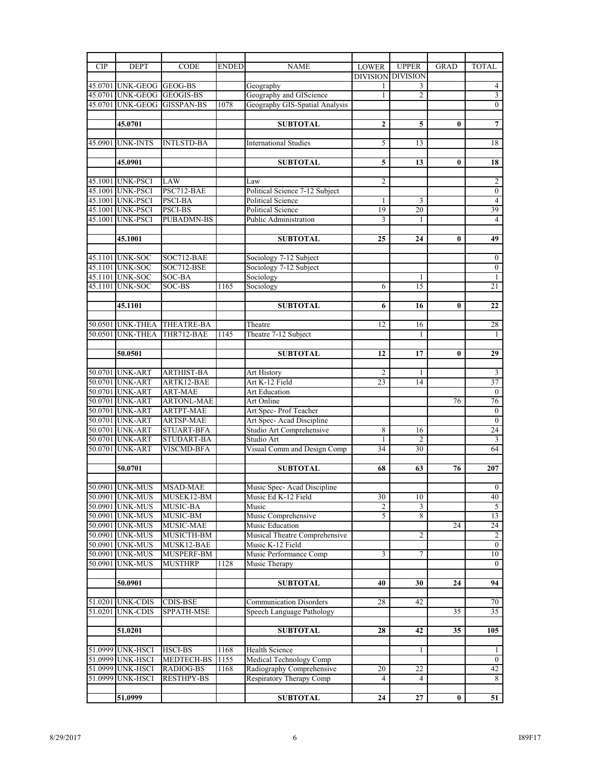| <b>CIP</b> | <b>DEPT</b>                          | <b>CODE</b>                    | <b>ENDED</b> | <b>NAME</b>                    | <b>LOWER</b>   | <b>UPPER</b>             | <b>GRAD</b>     | <b>TOTAL</b>        |
|------------|--------------------------------------|--------------------------------|--------------|--------------------------------|----------------|--------------------------|-----------------|---------------------|
|            |                                      |                                |              |                                |                | <b>DIVISION DIVISION</b> |                 |                     |
|            | 45.0701 UNK-GEOG GEOG-BS             |                                |              | Geography                      | 1              | 3                        |                 | 4                   |
|            | 45.0701 UNK-GEOG GEOGIS-BS           |                                |              | Geography and GIScience        | 1              | 2                        |                 | $\overline{3}$      |
|            |                                      | 45.0701 UNK-GEOG GISSPAN-BS    | 1078         | Geography GIS-Spatial Analysis |                |                          |                 | $\overline{0}$      |
|            |                                      |                                |              |                                |                |                          |                 |                     |
|            | 45.0701                              |                                |              | <b>SUBTOTAL</b>                | 2              | 5                        | $\bf{0}$        | 7                   |
|            |                                      |                                |              |                                |                |                          |                 |                     |
|            | 45.0901 UNK-INTS                     | <b>INTLSTD-BA</b>              |              | <b>International Studies</b>   | 5              | 13                       |                 | 18                  |
|            |                                      |                                |              |                                |                |                          |                 |                     |
|            | 45.0901                              |                                |              | <b>SUBTOTAL</b>                | 5              | 13                       | 0               | 18                  |
|            |                                      |                                |              |                                |                |                          |                 |                     |
|            | 45.1001 UNK-PSCI                     | LAW                            |              | Law                            | $\overline{c}$ |                          |                 | $\overline{2}$      |
|            | 45.1001 UNK-PSCI                     | PSC712-BAE                     |              | Political Science 7-12 Subject |                |                          |                 | $\overline{0}$      |
|            | 45.1001 UNK-PSCI                     | <b>PSCI-BA</b>                 |              | <b>Political Science</b>       | 1              | 3                        |                 | $\overline{4}$      |
|            | 45.1001 UNK-PSCI                     | PSCI-BS                        |              | Political Science              | 19             | 20                       |                 | 39                  |
|            | 45.1001 UNK-PSCI                     | <b>PUBADMN-BS</b>              |              | Public Administration          | $\overline{3}$ | 1                        |                 | $\overline{4}$      |
|            |                                      |                                |              |                                |                |                          |                 |                     |
|            | 45.1001                              |                                |              | <b>SUBTOTAL</b>                | 25             | 24                       | $\mathbf{0}$    | 49                  |
|            |                                      |                                |              |                                |                |                          |                 |                     |
|            | 45.1101 UNK-SOC                      | SOC712-BAE                     |              | Sociology 7-12 Subject         |                |                          |                 | $\boldsymbol{0}$    |
|            | 45.1101 UNK-SOC                      | SOC712-BSE                     |              | Sociology 7-12 Subject         |                |                          |                 | $\boldsymbol{0}$    |
|            | 45.1101 UNK-SOC                      | SOC-BA                         |              | Sociology                      |                | 1                        |                 | $\mathbf{1}$        |
| 45.1101    | <b>UNK-SOC</b>                       | SOC-BS                         | 1165         | Sociology                      | 6              | 15                       |                 | 21                  |
|            |                                      |                                |              |                                |                |                          |                 |                     |
|            | 45.1101                              |                                |              | <b>SUBTOTAL</b>                | 6              | 16                       | $\bf{0}$        | 22                  |
|            |                                      |                                |              |                                |                |                          |                 |                     |
|            | 50.0501 UNK-THEA                     | <b>THEATRE-BA</b>              |              | Theatre                        | 12             | 16                       |                 | 28                  |
|            | 50.0501 UNK-THEA                     | THR712-BAE                     | 1145         | Theatre 7-12 Subject           |                | 1                        |                 | $\mathbf{1}$        |
|            |                                      |                                |              |                                |                |                          |                 |                     |
|            | 50.0501                              |                                |              | <b>SUBTOTAL</b>                | 12             | 17                       | 0               | $\overline{29}$     |
|            |                                      |                                |              |                                |                |                          |                 |                     |
|            | 50.0701 UNK-ART                      | <b>ARTHIST-BA</b>              |              | Art History                    | $\overline{c}$ | 1                        |                 | $\mathbf{3}$        |
|            | 50.0701 UNK-ART                      | ARTK12-BAE                     |              | Art K-12 Field                 | 23             | 14                       |                 | 37                  |
|            | 50.0701 UNK-ART                      | <b>ART-MAE</b>                 |              | Art Education                  |                |                          |                 | $\overline{0}$      |
|            | 50.0701 UNK-ART                      | <b>ARTONL-MAE</b>              |              | Art Online                     |                |                          | 76              | 76                  |
|            | 50.0701 UNK-ART                      | <b>ARTPT-MAE</b>               |              | Art Spec-Prof Teacher          |                |                          |                 | $\overline{0}$      |
|            | 50.0701 UNK-ART                      | <b>ARTSP-MAE</b>               |              | Art Spec-Acad Discipline       |                |                          |                 | $\mathbf{0}$        |
|            | 50.0701 UNK-ART                      | <b>STUART-BFA</b>              |              | Studio Art Comprehensive       | 8              | 16                       |                 | 24                  |
|            | 50.0701 UNK-ART                      | <b>STUDART-BA</b>              |              | Studio Art                     | 1              | $\overline{c}$           |                 | 3                   |
|            | 50.0701 UNK-ART                      | <b>VISCMD-BFA</b>              |              | Visual Comm and Design Comp    | 34             | 30                       |                 | 64                  |
|            |                                      |                                |              |                                |                |                          |                 |                     |
|            | 50.0701                              |                                |              | <b>SUBTOTAL</b>                | 68             | 63                       | 76              | 207                 |
|            |                                      |                                |              |                                |                |                          |                 |                     |
|            | 50.0901 UNK-MUS MSAD-MAE             |                                |              | Music Spec-Acad Discipline     |                |                          |                 | $\overline{0}$      |
|            | 50.0901 UNK-MUS                      | MUSEK12-BM                     |              | Music Ed K-12 Field            | 30             | 10                       |                 | 40                  |
|            | 50.0901 UNK-MUS                      | MUSIC-BA                       |              | Music                          | 2              |                          |                 | 5                   |
|            | 50.0901 UNK-MUS                      | MUSIC-BM                       |              | Music Comprehensive            | 5              | 3<br>8                   |                 | 13                  |
|            | 50.0901 UNK-MUS                      | MUSIC-MAE                      |              | Music Education                |                |                          | 24              | 24                  |
|            | 50.0901 UNK-MUS                      | MUSICTH-BM                     |              | Musical Theatre Comprehensive  |                | 2                        |                 | 2                   |
|            | 50.0901 UNK-MUS                      | MUSK12-BAE                     |              | Music K-12 Field               |                |                          |                 | $\overline{0}$      |
|            | 50.0901 UNK-MUS                      | MUSPERF-BM                     |              | Music Performance Comp         | 3              | 7                        |                 | 10                  |
|            | 50.0901 UNK-MUS                      | <b>MUSTHRP</b>                 | 1128         | Music Therapy                  |                |                          |                 | $\overline{0}$      |
|            |                                      |                                |              |                                |                |                          |                 |                     |
|            | 50.0901                              |                                |              | <b>SUBTOTAL</b>                | 40             | 30                       | 24              | 94                  |
|            |                                      |                                |              |                                |                |                          |                 |                     |
|            | 51.0201 UNK-CDIS                     | <b>CDIS-BSE</b>                |              | <b>Communication Disorders</b> | 28             | 42                       |                 | 70                  |
|            | 51.0201 UNK-CDIS                     | SPPATH-MSE                     |              | Speech Language Pathology      |                |                          | 35              | 35                  |
|            |                                      |                                |              |                                |                |                          |                 |                     |
|            | 51.0201                              |                                |              | <b>SUBTOTAL</b>                | 28             | 42                       | $\overline{35}$ | 105                 |
|            |                                      |                                |              |                                |                |                          |                 |                     |
|            | 51.0999 UNK-HSCI                     |                                |              |                                |                | 1                        |                 |                     |
|            |                                      | HSCI-BS                        | 1168         | Health Science                 |                |                          |                 | 1<br>$\overline{0}$ |
|            | 51.0999 UNK-HSCI<br>51.0999 UNK-HSCI | MEDTECH-BS                     | 1155         | Medical Technology Comp        |                |                          |                 |                     |
|            | 51.0999 UNK-HSCI                     | RADIOG-BS<br><b>RESTHPY-BS</b> | 1168         | Radiography Comprehensive      | 20<br>4        | 22<br>4                  |                 | 42                  |
|            |                                      |                                |              | Respiratory Therapy Comp       |                |                          |                 | 8                   |
|            | 51.0999                              |                                |              |                                |                |                          |                 |                     |
|            |                                      |                                |              | <b>SUBTOTAL</b>                | 24             | 27                       | $\bf{0}$        | 51                  |